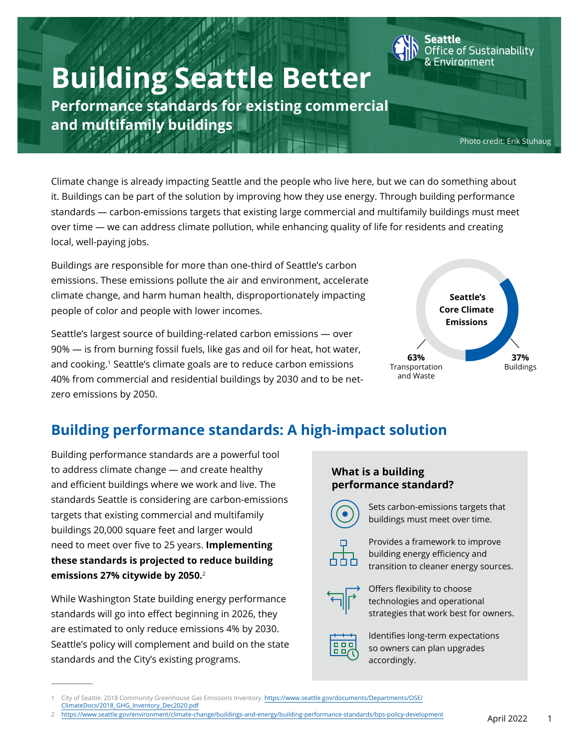# **Building Seattle Better**

**Performance standards for existing commercial and multifamily buildings**

Photo credit: Erik Stuhaug

ice of Sustainability

Environment

Climate change is already impacting Seattle and the people who live here, but we can do something about it. Buildings can be part of the solution by improving how they use energy. Through building performance standards — carbon-emissions targets that existing large commercial and multifamily buildings must meet over time — we can address climate pollution, while enhancing quality of life for residents and creating local, well-paying jobs.

Buildings are responsible for more than one-third of Seattle's carbon emissions. These emissions pollute the air and environment, accelerate climate change, and harm human health, disproportionately impacting people of color and people with lower incomes.

Seattle's largest source of building-related carbon emissions — over 90% — is from burning fossil fuels, like gas and oil for heat, hot water, and cooking.<sup>1</sup> Seattle's climate goals are to reduce carbon emissions 40% from commercial and residential buildings by 2030 and to be netzero emissions by 2050.



## **Building performance standards: A high-impact solution**

Building performance standards are a powerful tool to address climate change — and create healthy and efficient buildings where we work and live. The standards Seattle is considering are carbon-emissions targets that existing commercial and multifamily buildings 20,000 square feet and larger would need to meet over five to 25 years. **Implementing these standards is projected to reduce building emissions 27% citywide by 2050.**<sup>2</sup>

While Washington State building energy performance standards will go into effect beginning in 2026, they are estimated to only reduce emissions 4% by 2030. Seattle's policy will complement and build on the state standards and the City's existing programs.

#### **What is a building performance standard?**



Sets carbon-emissions targets that buildings must meet over time.



Provides a framework to improve building energy efficiency and transition to cleaner energy sources.



Offers flexibility to choose technologies and operational strategies that work best for owners.



Identifies long-term expectations so owners can plan upgrades accordingly.

1 City of Seattle. 2018 Community Greenhouse Gas Emissions Inventory. [https://www.seattle.gov/documents/Departments/OSE/](https://www.seattle.gov/documents/Departments/OSE/ClimateDocs/2018_GHG_Inventory_Dec2020.pdf) [ClimateDocs/2018\\_GHG\\_Inventory\\_Dec2020.pdf](https://www.seattle.gov/documents/Departments/OSE/ClimateDocs/2018_GHG_Inventory_Dec2020.pdf)

2 <https://www.seattle.gov/environment/climate-change/buildings-and-energy/building-performance-standards/bps-policy-development>